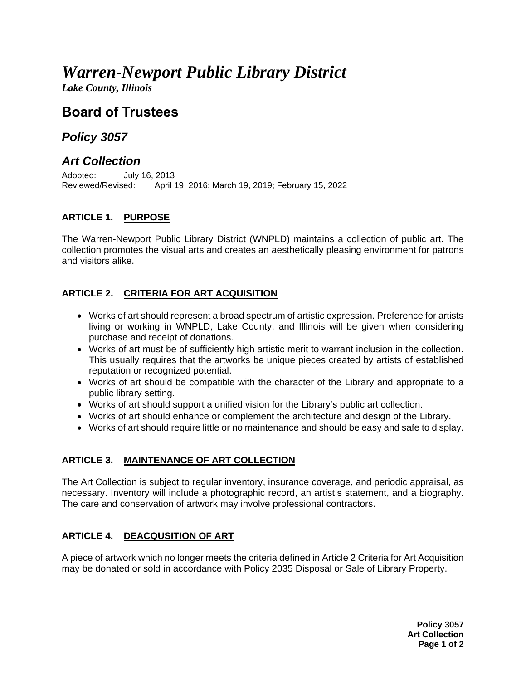# *Warren-Newport Public Library District*

*Lake County, Illinois*

# **Board of Trustees**

### *Policy 3057*

## *Art Collection*

Adopted: July 16, 2013<br>Reviewed/Revised: April 1 April 19, 2016; March 19, 2019; February 15, 2022

#### **ARTICLE 1. PURPOSE**

The Warren-Newport Public Library District (WNPLD) maintains a collection of public art. The collection promotes the visual arts and creates an aesthetically pleasing environment for patrons and visitors alike.

#### **ARTICLE 2. CRITERIA FOR ART ACQUISITION**

- Works of art should represent a broad spectrum of artistic expression. Preference for artists living or working in WNPLD, Lake County, and Illinois will be given when considering purchase and receipt of donations.
- Works of art must be of sufficiently high artistic merit to warrant inclusion in the collection. This usually requires that the artworks be unique pieces created by artists of established reputation or recognized potential.
- Works of art should be compatible with the character of the Library and appropriate to a public library setting.
- Works of art should support a unified vision for the Library's public art collection.
- Works of art should enhance or complement the architecture and design of the Library.
- Works of art should require little or no maintenance and should be easy and safe to display.

#### **ARTICLE 3. MAINTENANCE OF ART COLLECTION**

The Art Collection is subject to regular inventory, insurance coverage, and periodic appraisal, as necessary. Inventory will include a photographic record, an artist's statement, and a biography. The care and conservation of artwork may involve professional contractors.

#### **ARTICLE 4. DEACQUSITION OF ART**

A piece of artwork which no longer meets the criteria defined in Article 2 Criteria for Art Acquisition may be donated or sold in accordance with Policy 2035 Disposal or Sale of Library Property.